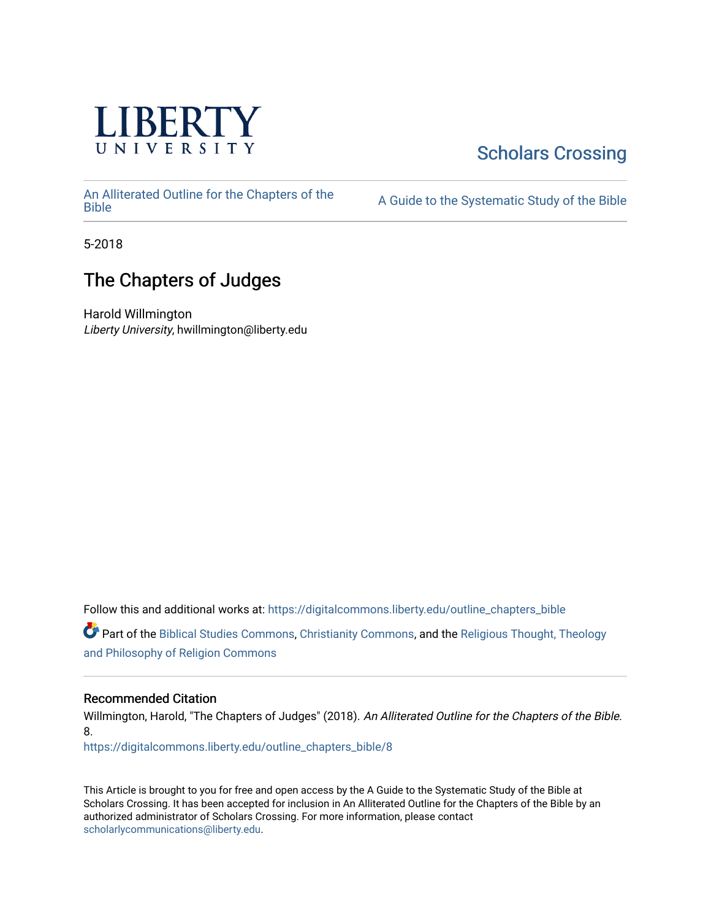

# [Scholars Crossing](https://digitalcommons.liberty.edu/)

[An Alliterated Outline for the Chapters of the](https://digitalcommons.liberty.edu/outline_chapters_bible) 

A Guide to the Systematic Study of the [Bible](https://digitalcommons.liberty.edu/outline_chapters_bible)

5-2018

# The Chapters of Judges

Harold Willmington Liberty University, hwillmington@liberty.edu

Follow this and additional works at: [https://digitalcommons.liberty.edu/outline\\_chapters\\_bible](https://digitalcommons.liberty.edu/outline_chapters_bible?utm_source=digitalcommons.liberty.edu%2Foutline_chapters_bible%2F8&utm_medium=PDF&utm_campaign=PDFCoverPages)

Part of the [Biblical Studies Commons,](http://network.bepress.com/hgg/discipline/539?utm_source=digitalcommons.liberty.edu%2Foutline_chapters_bible%2F8&utm_medium=PDF&utm_campaign=PDFCoverPages) [Christianity Commons,](http://network.bepress.com/hgg/discipline/1181?utm_source=digitalcommons.liberty.edu%2Foutline_chapters_bible%2F8&utm_medium=PDF&utm_campaign=PDFCoverPages) and the [Religious Thought, Theology](http://network.bepress.com/hgg/discipline/544?utm_source=digitalcommons.liberty.edu%2Foutline_chapters_bible%2F8&utm_medium=PDF&utm_campaign=PDFCoverPages)  [and Philosophy of Religion Commons](http://network.bepress.com/hgg/discipline/544?utm_source=digitalcommons.liberty.edu%2Foutline_chapters_bible%2F8&utm_medium=PDF&utm_campaign=PDFCoverPages)

# Recommended Citation

Willmington, Harold, "The Chapters of Judges" (2018). An Alliterated Outline for the Chapters of the Bible. 8.

[https://digitalcommons.liberty.edu/outline\\_chapters\\_bible/8](https://digitalcommons.liberty.edu/outline_chapters_bible/8?utm_source=digitalcommons.liberty.edu%2Foutline_chapters_bible%2F8&utm_medium=PDF&utm_campaign=PDFCoverPages)

This Article is brought to you for free and open access by the A Guide to the Systematic Study of the Bible at Scholars Crossing. It has been accepted for inclusion in An Alliterated Outline for the Chapters of the Bible by an authorized administrator of Scholars Crossing. For more information, please contact [scholarlycommunications@liberty.edu.](mailto:scholarlycommunications@liberty.edu)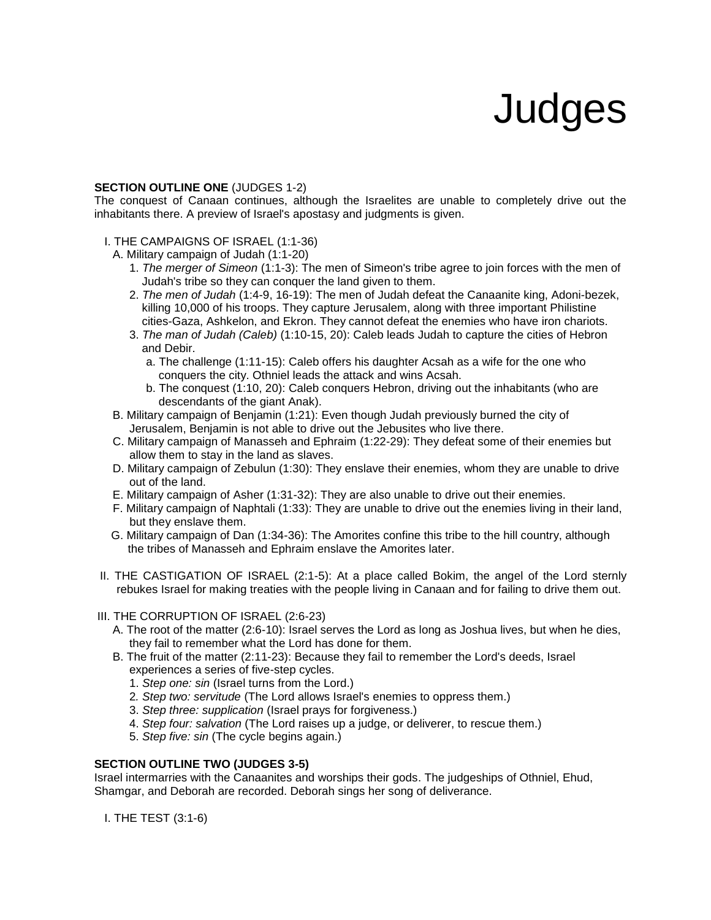# **Judges**

#### **SECTION OUTLINE ONE** (JUDGES 1-2)

The conquest of Canaan continues, although the Israelites are unable to completely drive out the inhabitants there. A preview of Israel's apostasy and judgments is given.

#### I. THE CAMPAIGNS OF ISRAEL (1:1-36)

A. Military campaign of Judah (1:1-20)

- 1. *The merger of Simeon* (1:1-3): The men of Simeon's tribe agree to join forces with the men of Judah's tribe so they can conquer the land given to them.
- 2. *The men of Judah* (1:4-9, 16-19): The men of Judah defeat the Canaanite king, Adoni-bezek, killing 10,000 of his troops. They capture Jerusalem, along with three important Philistine cities-Gaza, Ashkelon, and Ekron. They cannot defeat the enemies who have iron chariots.
- 3. *The man of Judah (Caleb)* (1:10-15, 20): Caleb leads Judah to capture the cities of Hebron and Debir.
	- a. The challenge (1:11-15): Caleb offers his daughter Acsah as a wife for the one who conquers the city. Othniel leads the attack and wins Acsah.
	- b. The conquest (1:10, 20): Caleb conquers Hebron, driving out the inhabitants (who are descendants of the giant Anak).
- B. Military campaign of Benjamin (1:21): Even though Judah previously burned the city of Jerusalem, Benjamin is not able to drive out the Jebusites who live there.
- C. Military campaign of Manasseh and Ephraim (1:22-29): They defeat some of their enemies but allow them to stay in the land as slaves.
- D. Military campaign of Zebulun (1:30): They enslave their enemies, whom they are unable to drive out of the land.
- E. Military campaign of Asher (1:31-32): They are also unable to drive out their enemies.
- F. Military campaign of Naphtali (1:33): They are unable to drive out the enemies living in their land, but they enslave them.
- G. Military campaign of Dan (1:34-36): The Amorites confine this tribe to the hill country, although the tribes of Manasseh and Ephraim enslave the Amorites later.
- II. THE CASTIGATION OF ISRAEL (2:1-5): At a place called Bokim, the angel of the Lord sternly rebukes Israel for making treaties with the people living in Canaan and for failing to drive them out.
- III. THE CORRUPTION OF ISRAEL (2:6-23)
	- A. The root of the matter (2:6-10): Israel serves the Lord as long as Joshua lives, but when he dies, they fail to remember what the Lord has done for them.
	- B. The fruit of the matter (2:11-23): Because they fail to remember the Lord's deeds, Israel experiences a series of five-step cycles.
		- 1. *Step one: sin* (Israel turns from the Lord.)
		- 2*. Step two: servitude* (The Lord allows Israel's enemies to oppress them.)
		- 3. *Step three: supplication* (Israel prays for forgiveness.)
		- 4. *Step four: salvation* (The Lord raises up a judge, or deliverer, to rescue them.)
		- 5. *Step five: sin* (The cycle begins again.)

#### **SECTION OUTLINE TWO (JUDGES 3-5)**

Israel intermarries with the Canaanites and worships their gods. The judgeships of Othniel, Ehud, Shamgar, and Deborah are recorded. Deborah sings her song of deliverance.

I. THE TEST (3:1-6)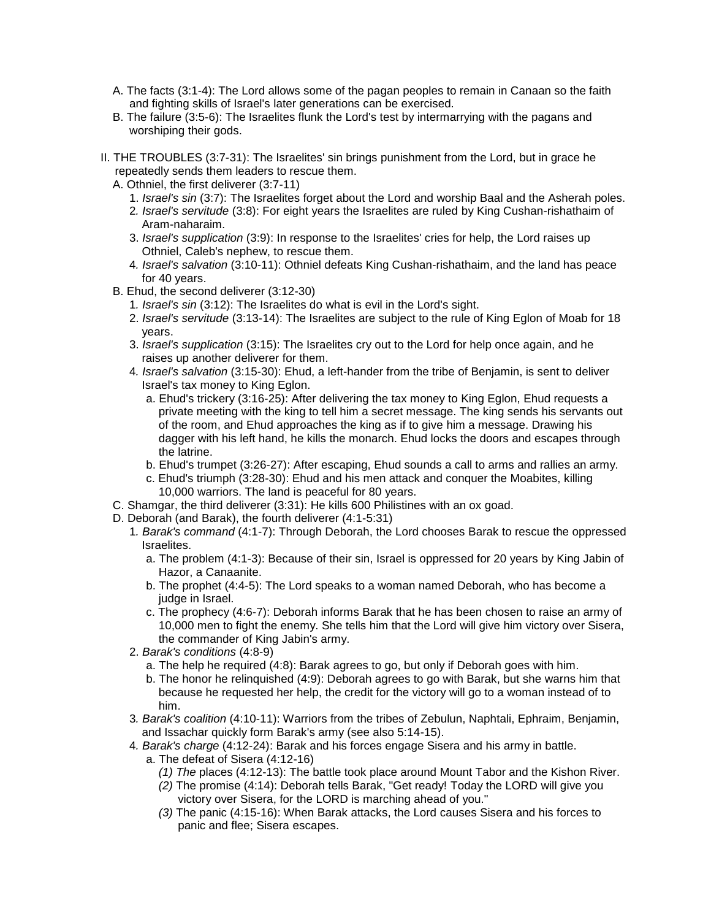- A. The facts (3:1-4): The Lord allows some of the pagan peoples to remain in Canaan so the faith and fighting skills of Israel's later generations can be exercised.
- B. The failure (3:5-6): The Israelites flunk the Lord's test by intermarrying with the pagans and worshiping their gods.
- II. THE TROUBLES (3:7-31): The Israelites' sin brings punishment from the Lord, but in grace he repeatedly sends them leaders to rescue them.
	- A. Othniel, the first deliverer (3:7-11)
		- 1. *Israel's sin* (3:7): The Israelites forget about the Lord and worship Baal and the Asherah poles.
		- 2*. Israel's servitude* (3:8): For eight years the Israelites are ruled by King Cushan-rishathaim of Aram-naharaim.
		- 3. *Israel's supplication* (3:9): In response to the Israelites' cries for help, the Lord raises up Othniel, Caleb's nephew, to rescue them.
		- 4*. Israel's salvation* (3:10-11): Othniel defeats King Cushan-rishathaim, and the land has peace for 40 years.
	- B. Ehud, the second deliverer (3:12-30)
		- 1*. Israel's sin* (3:12): The Israelites do what is evil in the Lord's sight.
		- 2. *Israel's servitude* (3:13-14): The Israelites are subject to the rule of King Eglon of Moab for 18 years.
		- 3. *Israel's supplication* (3:15): The Israelites cry out to the Lord for help once again, and he raises up another deliverer for them.
		- 4*. Israel's salvation* (3:15-30): Ehud, a left-hander from the tribe of Benjamin, is sent to deliver Israel's tax money to King Eglon.
			- a. Ehud's trickery (3:16-25): After delivering the tax money to King Eglon, Ehud requests a private meeting with the king to tell him a secret message. The king sends his servants out of the room, and Ehud approaches the king as if to give him a message. Drawing his dagger with his left hand, he kills the monarch. Ehud locks the doors and escapes through the latrine.
			- b. Ehud's trumpet (3:26-27): After escaping, Ehud sounds a call to arms and rallies an army.
			- c. Ehud's triumph (3:28-30): Ehud and his men attack and conquer the Moabites, killing 10,000 warriors. The land is peaceful for 80 years.
	- C. Shamgar, the third deliverer (3:31): He kills 600 Philistines with an ox goad.
	- D. Deborah (and Barak), the fourth deliverer (4:1-5:31)
		- 1*. Barak's command* (4:1-7): Through Deborah, the Lord chooses Barak to rescue the oppressed Israelites.
			- a. The problem (4:1-3): Because of their sin, Israel is oppressed for 20 years by King Jabin of Hazor, a Canaanite.
			- b. The prophet (4:4-5): The Lord speaks to a woman named Deborah, who has become a judge in Israel.
			- c. The prophecy (4:6-7): Deborah informs Barak that he has been chosen to raise an army of 10,000 men to fight the enemy. She tells him that the Lord will give him victory over Sisera, the commander of King Jabin's army.
		- 2. *Barak's conditions* (4:8-9)
			- a. The help he required (4:8): Barak agrees to go, but only if Deborah goes with him.
			- b. The honor he relinquished (4:9): Deborah agrees to go with Barak, but she warns him that because he requested her help, the credit for the victory will go to a woman instead of to him.
		- 3*. Barak's coalition* (4:10-11): Warriors from the tribes of Zebulun, Naphtali, Ephraim, Benjamin, and Issachar quickly form Barak's army (see also 5:14-15).
		- 4*. Barak's charge* (4:12-24): Barak and his forces engage Sisera and his army in battle.
			- a. The defeat of Sisera (4:12-16)
				- *(1) The* places (4:12-13): The battle took place around Mount Tabor and the Kishon River.
				- *(2)* The promise (4:14): Deborah tells Barak, "Get ready! Today the LORD will give you victory over Sisera, for the LORD is marching ahead of you."
				- *(3)* The panic (4:15-16): When Barak attacks, the Lord causes Sisera and his forces to panic and flee; Sisera escapes.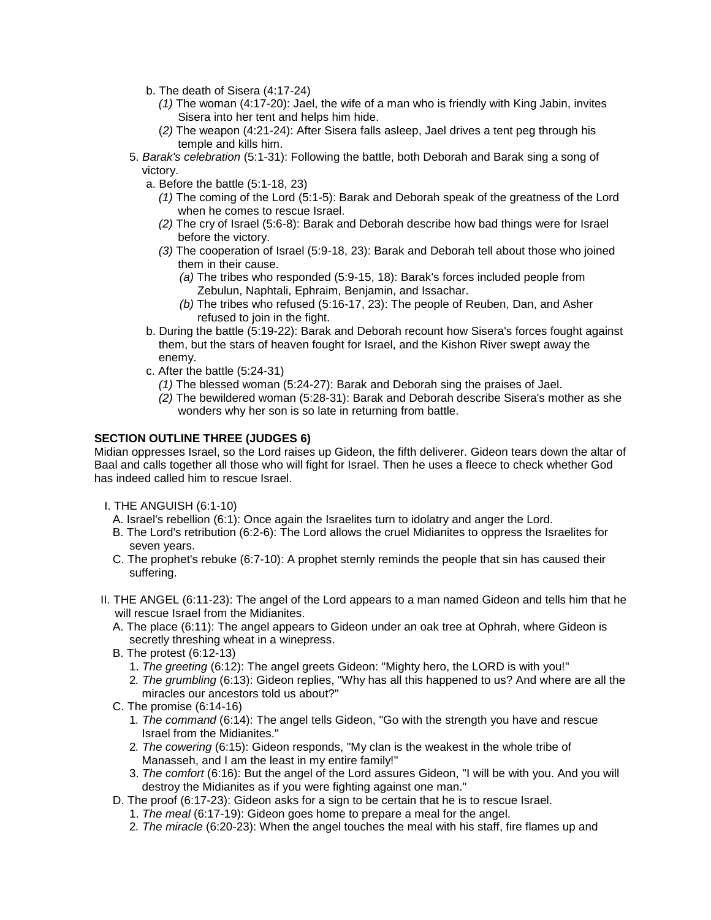- b. The death of Sisera (4:17-24)
	- *(1)* The woman (4:17-20): Jael, the wife of a man who is friendly with King Jabin, invites Sisera into her tent and helps him hide.
	- (*2)* The weapon (4:21-24): After Sisera falls asleep, Jael drives a tent peg through his temple and kills him.
- 5. *Barak's celebration* (5:1-31): Following the battle, both Deborah and Barak sing a song of victory.
	- a. Before the battle (5:1-18, 23)
		- *(1)* The coming of the Lord (5:1-5): Barak and Deborah speak of the greatness of the Lord when he comes to rescue Israel.
		- *(2)* The cry of Israel (5:6-8): Barak and Deborah describe how bad things were for Israel before the victory.
		- *(3)* The cooperation of Israel (5:9-18, 23): Barak and Deborah tell about those who joined them in their cause.
			- *(a)* The tribes who responded (5:9-15, 18): Barak's forces included people from Zebulun, Naphtali, Ephraim, Benjamin, and Issachar.
			- *(b)* The tribes who refused (5:16-17, 23): The people of Reuben, Dan, and Asher refused to join in the fight.
	- b. During the battle (5:19-22): Barak and Deborah recount how Sisera's forces fought against them, but the stars of heaven fought for Israel, and the Kishon River swept away the enemy.
	- c. After the battle (5:24-31)
		- *(1)* The blessed woman (5:24-27): Barak and Deborah sing the praises of Jael.
		- *(2)* The bewildered woman (5:28-31): Barak and Deborah describe Sisera's mother as she wonders why her son is so late in returning from battle.

#### **SECTION OUTLINE THREE (JUDGES 6)**

Midian oppresses Israel, so the Lord raises up Gideon, the fifth deliverer. Gideon tears down the altar of Baal and calls together all those who will fight for Israel. Then he uses a fleece to check whether God has indeed called him to rescue Israel.

- I. THE ANGUISH (6:1-10)
	- A. Israel's rebellion (6:1): Once again the Israelites turn to idolatry and anger the Lord.
	- B. The Lord's retribution (6:2-6): The Lord allows the cruel Midianites to oppress the Israelites for seven years.
	- C. The prophet's rebuke (6:7-10): A prophet sternly reminds the people that sin has caused their suffering.
- II. THE ANGEL (6:11-23): The angel of the Lord appears to a man named Gideon and tells him that he will rescue Israel from the Midianites.
	- A. The place (6:11): The angel appears to Gideon under an oak tree at Ophrah, where Gideon is secretly threshing wheat in a winepress.
	- B. The protest (6:12-13)
		- 1. *The greeting* (6:12): The angel greets Gideon: "Mighty hero, the LORD is with you!"
		- 2*. The grumbling* (6:13): Gideon replies, "Why has all this happened to us? And where are all the miracles our ancestors told us about?"
	- C. The promise (6:14-16)
		- 1*. The command* (6:14): The angel tells Gideon, "Go with the strength you have and rescue Israel from the Midianites."
		- 2*. The cowering* (6:15): Gideon responds, "My clan is the weakest in the whole tribe of Manasseh, and I am the least in my entire family!"
		- 3. *The comfort* (6:16): But the angel of the Lord assures Gideon, "I will be with you. And you will destroy the Midianites as if you were fighting against one man."
	- D. The proof (6:17-23): Gideon asks for a sign to be certain that he is to rescue Israel.
		- 1. *The meal* (6:17-19): Gideon goes home to prepare a meal for the angel.
		- 2*. The miracle* (6:20-23): When the angel touches the meal with his staff, fire flames up and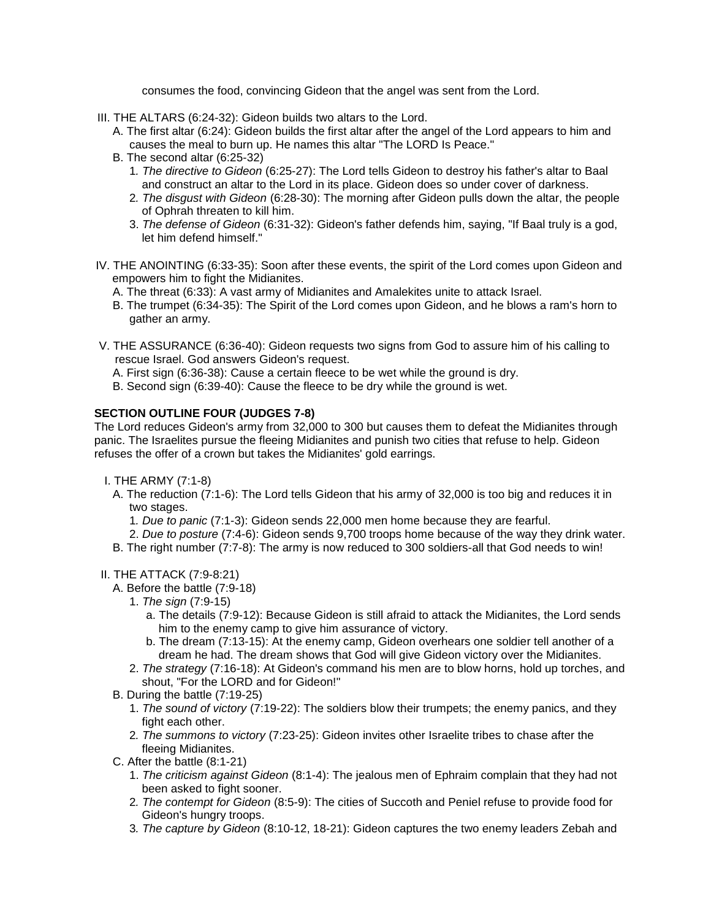consumes the food, convincing Gideon that the angel was sent from the Lord.

- III. THE ALTARS (6:24-32): Gideon builds two altars to the Lord.
	- A. The first altar (6:24): Gideon builds the first altar after the angel of the Lord appears to him and causes the meal to burn up. He names this altar "The LORD Is Peace."
	- B. The second altar (6:25-32)
		- 1*. The directive to Gideon* (6:25-27): The Lord tells Gideon to destroy his father's altar to Baal and construct an altar to the Lord in its place. Gideon does so under cover of darkness.
		- 2*. The disgust with Gideon* (6:28-30): The morning after Gideon pulls down the altar, the people of Ophrah threaten to kill him.
		- 3. *The defense of Gideon* (6:31-32): Gideon's father defends him, saying, "If Baal truly is a god, let him defend himself."
- IV. THE ANOINTING (6:33-35): Soon after these events, the spirit of the Lord comes upon Gideon and empowers him to fight the Midianites.
	- A. The threat (6:33): A vast army of Midianites and Amalekites unite to attack Israel.
	- B. The trumpet (6:34-35): The Spirit of the Lord comes upon Gideon, and he blows a ram's horn to gather an army.
- V. THE ASSURANCE (6:36-40): Gideon requests two signs from God to assure him of his calling to rescue Israel. God answers Gideon's request.
	- A. First sign (6:36-38): Cause a certain fleece to be wet while the ground is dry.
	- B. Second sign (6:39-40): Cause the fleece to be dry while the ground is wet.

## **SECTION OUTLINE FOUR (JUDGES 7-8)**

The Lord reduces Gideon's army from 32,000 to 300 but causes them to defeat the Midianites through panic. The Israelites pursue the fleeing Midianites and punish two cities that refuse to help. Gideon refuses the offer of a crown but takes the Midianites' gold earrings.

- I. THE ARMY (7:1-8)
	- A. The reduction (7:1-6): The Lord tells Gideon that his army of 32,000 is too big and reduces it in two stages.
		- 1*. Due to panic* (7:1-3): Gideon sends 22,000 men home because they are fearful.
	- 2. *Due to posture* (7:4-6): Gideon sends 9,700 troops home because of the way they drink water.
	- B. The right number (7:7-8): The army is now reduced to 300 soldiers-all that God needs to win!

## II. THE ATTACK (7:9-8:21)

- A. Before the battle (7:9-18)
	- 1. *The sign* (7:9-15)
		- a. The details (7:9-12): Because Gideon is still afraid to attack the Midianites, the Lord sends him to the enemy camp to give him assurance of victory.
		- b. The dream (7:13-15): At the enemy camp, Gideon overhears one soldier tell another of a dream he had. The dream shows that God will give Gideon victory over the Midianites.
	- 2. *The strategy* (7:16-18): At Gideon's command his men are to blow horns, hold up torches, and shout, "For the LORD and for Gideon!"
- B. During the battle (7:19-25)
	- 1. *The sound of victory* (7:19-22): The soldiers blow their trumpets; the enemy panics, and they fight each other.
	- 2*. The summons to victory* (7:23-25): Gideon invites other Israelite tribes to chase after the fleeing Midianites.
- C. After the battle (8:1-21)
	- 1. *The criticism against Gideon* (8:1-4): The jealous men of Ephraim complain that they had not been asked to fight sooner.
	- 2*. The contempt for Gideon* (8:5-9): The cities of Succoth and Peniel refuse to provide food for Gideon's hungry troops.
	- 3*. The capture by Gideon* (8:10-12, 18-21): Gideon captures the two enemy leaders Zebah and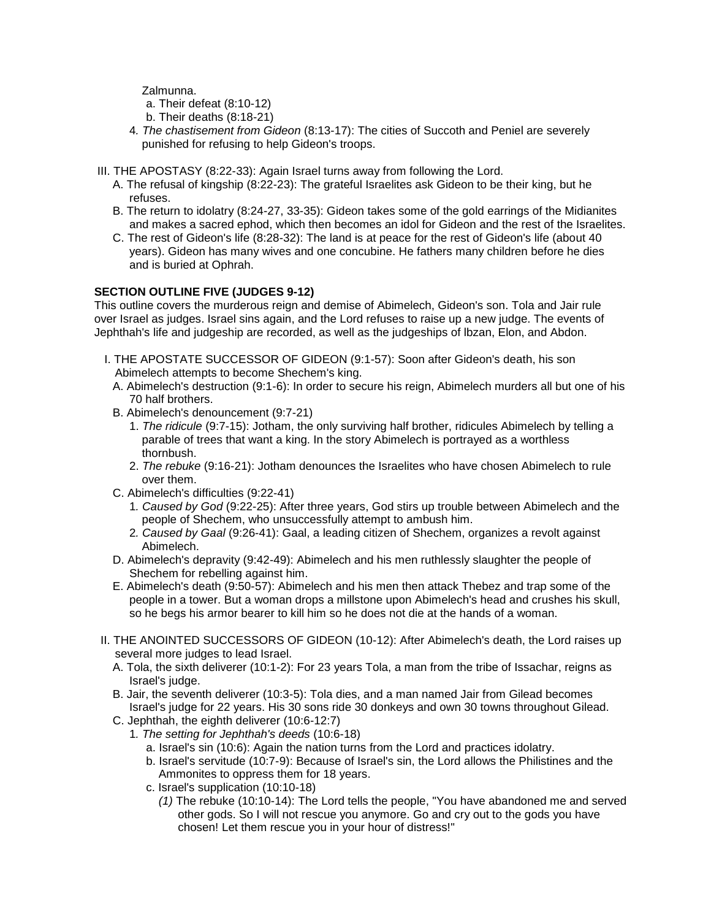Zalmunna.

a. Their defeat (8:10-12)

- b. Their deaths (8:18-21)
- 4*. The chastisement from Gideon* (8:13-17): The cities of Succoth and Peniel are severely punished for refusing to help Gideon's troops.
- III. THE APOSTASY (8:22-33): Again Israel turns away from following the Lord.
	- A. The refusal of kingship (8:22-23): The grateful Israelites ask Gideon to be their king, but he refuses.
	- B. The return to idolatry (8:24-27, 33-35): Gideon takes some of the gold earrings of the Midianites and makes a sacred ephod, which then becomes an idol for Gideon and the rest of the Israelites.
	- C. The rest of Gideon's life (8:28-32): The land is at peace for the rest of Gideon's life (about 40 years). Gideon has many wives and one concubine. He fathers many children before he dies and is buried at Ophrah.

## **SECTION OUTLINE FIVE (JUDGES 9-12)**

This outline covers the murderous reign and demise of Abimelech, Gideon's son. Tola and Jair rule over Israel as judges. Israel sins again, and the Lord refuses to raise up a new judge. The events of Jephthah's life and judgeship are recorded, as well as the judgeships of lbzan, Elon, and Abdon.

- I. THE APOSTATE SUCCESSOR OF GIDEON (9:1-57): Soon after Gideon's death, his son Abimelech attempts to become Shechem's king.
- A. Abimelech's destruction (9:1-6): In order to secure his reign, Abimelech murders all but one of his 70 half brothers.
- B. Abimelech's denouncement (9:7-21)
	- 1. *The ridicule* (9:7-15): Jotham, the only surviving half brother, ridicules Abimelech by telling a parable of trees that want a king. In the story Abimelech is portrayed as a worthless thornbush.
	- 2. *The rebuke* (9:16-21): Jotham denounces the Israelites who have chosen Abimelech to rule over them.
- C. Abimelech's difficulties (9:22-41)
	- 1*. Caused by God* (9:22-25): After three years, God stirs up trouble between Abimelech and the people of Shechem, who unsuccessfully attempt to ambush him.
	- 2*. Caused by Gaal* (9:26-41): Gaal, a leading citizen of Shechem, organizes a revolt against Abimelech.
- D. Abimelech's depravity (9:42-49): Abimelech and his men ruthlessly slaughter the people of Shechem for rebelling against him.
- E. Abimelech's death (9:50-57): Abimelech and his men then attack Thebez and trap some of the people in a tower. But a woman drops a millstone upon Abimelech's head and crushes his skull, so he begs his armor bearer to kill him so he does not die at the hands of a woman.
- II. THE ANOINTED SUCCESSORS OF GIDEON (10-12): After Abimelech's death, the Lord raises up several more judges to lead Israel.
	- A. Tola, the sixth deliverer (10:1-2): For 23 years Tola, a man from the tribe of Issachar, reigns as Israel's judge.
	- B. Jair, the seventh deliverer (10:3-5): Tola dies, and a man named Jair from Gilead becomes Israel's judge for 22 years. His 30 sons ride 30 donkeys and own 30 towns throughout Gilead.
	- C. Jephthah, the eighth deliverer (10:6-12:7)
		- 1*. The setting for Jephthah's deeds* (10:6-18)
			- a. Israel's sin (10:6): Again the nation turns from the Lord and practices idolatry.
			- b. Israel's servitude (10:7-9): Because of Israel's sin, the Lord allows the Philistines and the Ammonites to oppress them for 18 years.
			- c. Israel's supplication (10:10-18)
				- *(1)* The rebuke (10:10-14): The Lord tells the people, "You have abandoned me and served other gods. So I will not rescue you anymore. Go and cry out to the gods you have chosen! Let them rescue you in your hour of distress!"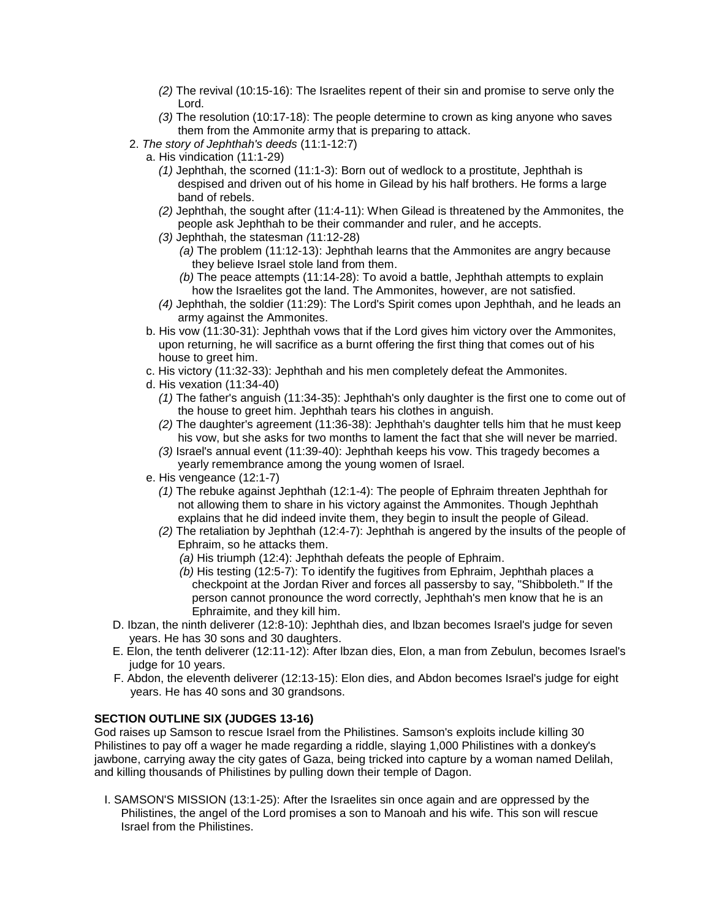- *(2)* The revival (10:15-16): The Israelites repent of their sin and promise to serve only the Lord.
- *(3)* The resolution (10:17-18): The people determine to crown as king anyone who saves them from the Ammonite army that is preparing to attack.
- 2. *The story of Jephthah's deeds* (11:1-12:7)
	- a. His vindication (11:1-29)
		- *(1)* Jephthah, the scorned (11:1-3): Born out of wedlock to a prostitute, Jephthah is despised and driven out of his home in Gilead by his half brothers. He forms a large band of rebels.
		- *(2)* Jephthah, the sought after (11:4-11): When Gilead is threatened by the Ammonites, the people ask Jephthah to be their commander and ruler, and he accepts.
		- *(3)* Jephthah, the statesman *(*11:12-28)
			- *(a)* The problem (11:12-13): Jephthah learns that the Ammonites are angry because they believe Israel stole land from them.
			- *(b)* The peace attempts (11:14-28): To avoid a battle, Jephthah attempts to explain how the Israelites got the land. The Ammonites, however, are not satisfied.
		- *(4)* Jephthah, the soldier (11:29): The Lord's Spirit comes upon Jephthah, and he leads an army against the Ammonites.
	- b. His vow (11:30-31): Jephthah vows that if the Lord gives him victory over the Ammonites, upon returning, he will sacrifice as a burnt offering the first thing that comes out of his house to greet him.
	- c. His victory (11:32-33): Jephthah and his men completely defeat the Ammonites.
	- d. His vexation (11:34-40)
		- *(1)* The father's anguish (11:34-35): Jephthah's only daughter is the first one to come out of the house to greet him. Jephthah tears his clothes in anguish.
		- *(2)* The daughter's agreement (11:36-38): Jephthah's daughter tells him that he must keep his vow, but she asks for two months to lament the fact that she will never be married.
		- *(3)* Israel's annual event (11:39-40): Jephthah keeps his vow. This tragedy becomes a yearly remembrance among the young women of Israel.
	- e. His vengeance (12:1-7)
		- *(1)* The rebuke against Jephthah (12:1-4): The people of Ephraim threaten Jephthah for not allowing them to share in his victory against the Ammonites. Though Jephthah explains that he did indeed invite them, they begin to insult the people of Gilead.
		- *(2)* The retaliation by Jephthah (12:4-7): Jephthah is angered by the insults of the people of Ephraim, so he attacks them.
			- *(a)* His triumph (12:4): Jephthah defeats the people of Ephraim.
			- *(b)* His testing (12:5-7): To identify the fugitives from Ephraim, Jephthah places a checkpoint at the Jordan River and forces all passersby to say, "Shibboleth." If the person cannot pronounce the word correctly, Jephthah's men know that he is an Ephraimite, and they kill him.
- D. Ibzan, the ninth deliverer (12:8-10): Jephthah dies, and lbzan becomes Israel's judge for seven years. He has 30 sons and 30 daughters.
- E. Elon, the tenth deliverer (12:11-12): After lbzan dies, Elon, a man from Zebulun, becomes Israel's judge for 10 years.
- F. Abdon, the eleventh deliverer (12:13-15): Elon dies, and Abdon becomes Israel's judge for eight years. He has 40 sons and 30 grandsons.

## **SECTION OUTLINE SIX (JUDGES 13-16)**

God raises up Samson to rescue Israel from the Philistines. Samson's exploits include killing 30 Philistines to pay off a wager he made regarding a riddle, slaying 1,000 Philistines with a donkey's jawbone, carrying away the city gates of Gaza, being tricked into capture by a woman named Delilah, and killing thousands of Philistines by pulling down their temple of Dagon.

I. SAMSON'S MISSION (13:1-25): After the Israelites sin once again and are oppressed by the Philistines, the angel of the Lord promises a son to Manoah and his wife. This son will rescue Israel from the Philistines.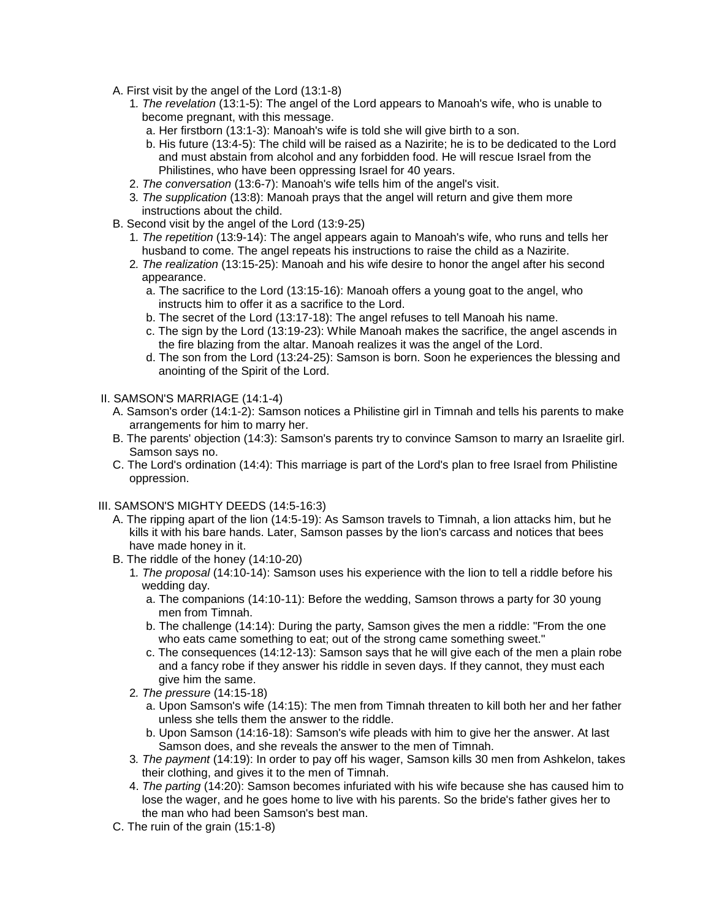- A. First visit by the angel of the Lord (13:1-8)
	- 1*. The revelation* (13:1-5): The angel of the Lord appears to Manoah's wife, who is unable to become pregnant, with this message.
		- a. Her firstborn (13:1-3): Manoah's wife is told she will give birth to a son.
		- b. His future (13:4-5): The child will be raised as a Nazirite; he is to be dedicated to the Lord and must abstain from alcohol and any forbidden food. He will rescue Israel from the Philistines, who have been oppressing Israel for 40 years.
	- 2. *The conversation* (13:6-7): Manoah's wife tells him of the angel's visit.
	- 3*. The supplication* (13:8): Manoah prays that the angel will return and give them more instructions about the child.
- B. Second visit by the angel of the Lord (13:9-25)
	- 1*. The repetition* (13:9-14): The angel appears again to Manoah's wife, who runs and tells her husband to come. The angel repeats his instructions to raise the child as a Nazirite.
	- 2*. The realization* (13:15-25): Manoah and his wife desire to honor the angel after his second appearance.
		- a. The sacrifice to the Lord (13:15-16): Manoah offers a young goat to the angel, who instructs him to offer it as a sacrifice to the Lord.
		- b. The secret of the Lord (13:17-18): The angel refuses to tell Manoah his name.
		- c. The sign by the Lord (13:19-23): While Manoah makes the sacrifice, the angel ascends in the fire blazing from the altar. Manoah realizes it was the angel of the Lord.
		- d. The son from the Lord (13:24-25): Samson is born. Soon he experiences the blessing and anointing of the Spirit of the Lord.
- II. SAMSON'S MARRIAGE (14:1-4)
	- A. Samson's order (14:1-2): Samson notices a Philistine girl in Timnah and tells his parents to make arrangements for him to marry her.
	- B. The parents' objection (14:3): Samson's parents try to convince Samson to marry an Israelite girl. Samson says no.
	- C. The Lord's ordination (14:4): This marriage is part of the Lord's plan to free Israel from Philistine oppression.
- III. SAMSON'S MIGHTY DEEDS (14:5-16:3)
	- A. The ripping apart of the lion (14:5-19): As Samson travels to Timnah, a lion attacks him, but he kills it with his bare hands. Later, Samson passes by the lion's carcass and notices that bees have made honey in it.
	- B. The riddle of the honey (14:10-20)
		- 1*. The proposal* (14:10-14): Samson uses his experience with the lion to tell a riddle before his wedding day.
			- a. The companions (14:10-11): Before the wedding, Samson throws a party for 30 young men from Timnah.
			- b. The challenge (14:14): During the party, Samson gives the men a riddle: "From the one who eats came something to eat; out of the strong came something sweet."
			- c. The consequences (14:12-13): Samson says that he will give each of the men a plain robe and a fancy robe if they answer his riddle in seven days. If they cannot, they must each give him the same.
		- 2*. The pressure* (14:15-18)
			- a. Upon Samson's wife (14:15): The men from Timnah threaten to kill both her and her father unless she tells them the answer to the riddle.
			- b. Upon Samson (14:16-18): Samson's wife pleads with him to give her the answer. At last Samson does, and she reveals the answer to the men of Timnah.
		- 3*. The payment* (14:19): In order to pay off his wager, Samson kills 30 men from Ashkelon, takes their clothing, and gives it to the men of Timnah.
		- 4. *The parting* (14:20): Samson becomes infuriated with his wife because she has caused him to lose the wager, and he goes home to live with his parents. So the bride's father gives her to the man who had been Samson's best man.
	- C. The ruin of the grain (15:1-8)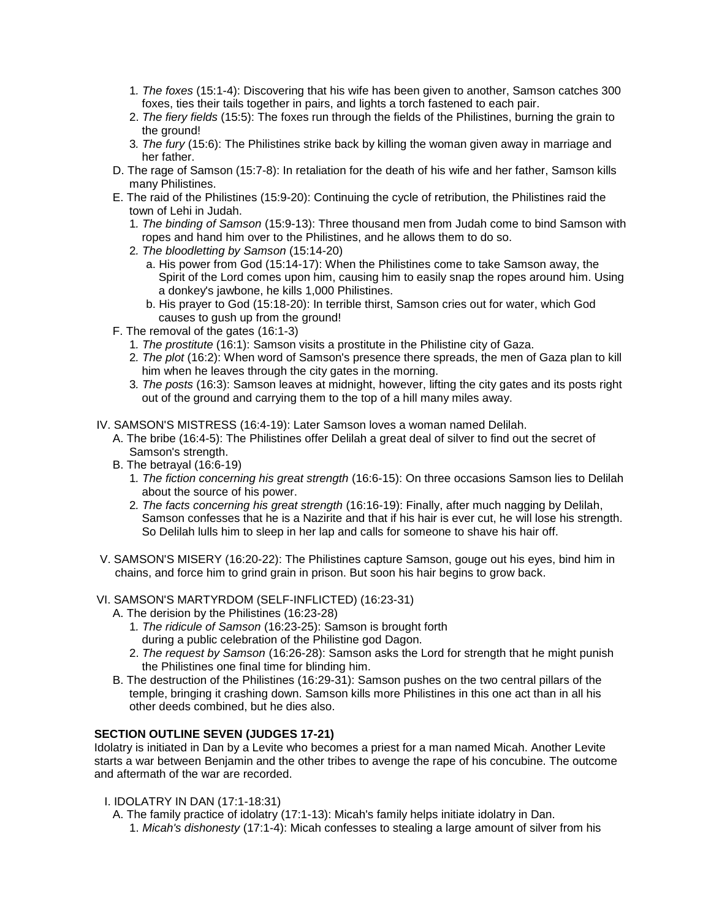- 1*. The foxes* (15:1-4): Discovering that his wife has been given to another, Samson catches 300 foxes, ties their tails together in pairs, and lights a torch fastened to each pair.
- 2. *The fiery fields* (15:5): The foxes run through the fields of the Philistines, burning the grain to the ground!
- 3*. The fury* (15:6): The Philistines strike back by killing the woman given away in marriage and her father.
- D. The rage of Samson (15:7-8): In retaliation for the death of his wife and her father, Samson kills many Philistines.
- E. The raid of the Philistines (15:9-20): Continuing the cycle of retribution, the Philistines raid the town of Lehi in Judah.
	- 1*. The binding of Samson* (15:9-13): Three thousand men from Judah come to bind Samson with ropes and hand him over to the Philistines, and he allows them to do so.
	- 2*. The bloodletting by Samson* (15:14-20)
		- a. His power from God (15:14-17): When the Philistines come to take Samson away, the Spirit of the Lord comes upon him, causing him to easily snap the ropes around him. Using a donkey's jawbone, he kills 1,000 Philistines.
		- b. His prayer to God (15:18-20): In terrible thirst, Samson cries out for water, which God causes to gush up from the ground!
- F. The removal of the gates (16:1-3)
	- 1*. The prostitute* (16:1): Samson visits a prostitute in the Philistine city of Gaza.
	- 2*. The plot* (16:2): When word of Samson's presence there spreads, the men of Gaza plan to kill him when he leaves through the city gates in the morning.
	- 3*. The posts* (16:3): Samson leaves at midnight, however, lifting the city gates and its posts right out of the ground and carrying them to the top of a hill many miles away.
- IV. SAMSON'S MISTRESS (16:4-19): Later Samson loves a woman named Delilah.
	- A. The bribe (16:4-5): The Philistines offer Delilah a great deal of silver to find out the secret of Samson's strength.
	- B. The betrayal (16:6-19)
		- 1*. The fiction concerning his great strength* (16:6-15): On three occasions Samson lies to Delilah about the source of his power.
		- 2*. The facts concerning his great strength* (16:16-19): Finally, after much nagging by Delilah, Samson confesses that he is a Nazirite and that if his hair is ever cut, he will lose his strength. So Delilah lulls him to sleep in her lap and calls for someone to shave his hair off.
- V. SAMSON'S MISERY (16:20-22): The Philistines capture Samson, gouge out his eyes, bind him in chains, and force him to grind grain in prison. But soon his hair begins to grow back.

#### VI. SAMSON'S MARTYRDOM (SELF-INFLICTED) (16:23-31)

- A. The derision by the Philistines (16:23-28)
	- 1*. The ridicule of Samson* (16:23-25): Samson is brought forth
	- during a public celebration of the Philistine god Dagon.
	- 2. *The request by Samson* (16:26-28): Samson asks the Lord for strength that he might punish the Philistines one final time for blinding him.
- B. The destruction of the Philistines (16:29-31): Samson pushes on the two central pillars of the temple, bringing it crashing down. Samson kills more Philistines in this one act than in all his other deeds combined, but he dies also.

## **SECTION OUTLINE SEVEN (JUDGES 17-21)**

Idolatry is initiated in Dan by a Levite who becomes a priest for a man named Micah. Another Levite starts a war between Benjamin and the other tribes to avenge the rape of his concubine. The outcome and aftermath of the war are recorded.

- I. IDOLATRY IN DAN (17:1-18:31)
	- A. The family practice of idolatry (17:1-13): Micah's family helps initiate idolatry in Dan. 1. *Micah's dishonesty* (17:1-4): Micah confesses to stealing a large amount of silver from his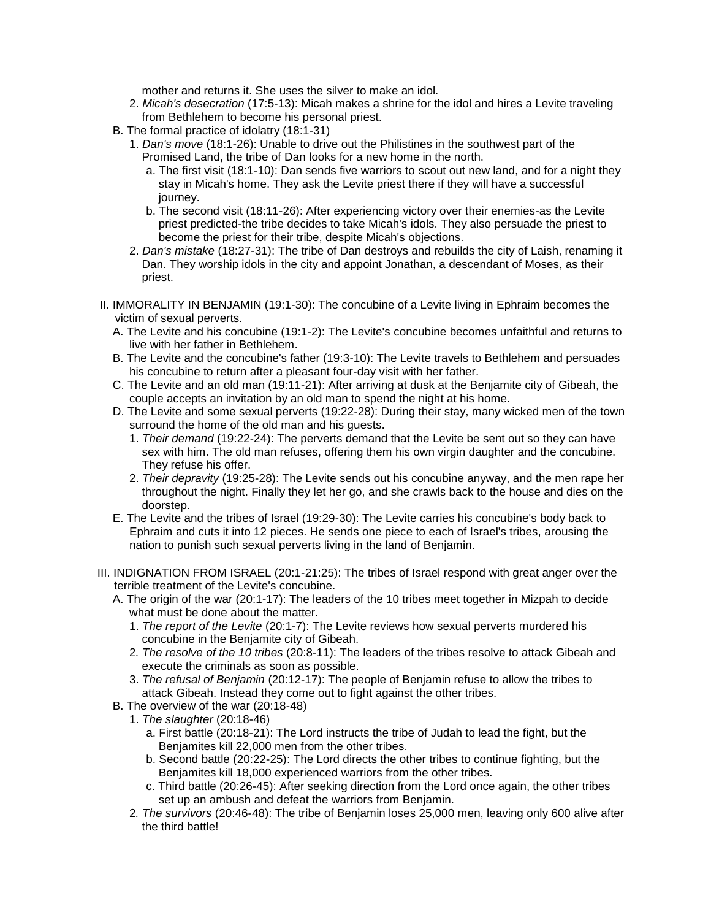mother and returns it. She uses the silver to make an idol.

- 2. *Micah's desecration* (17:5-13): Micah makes a shrine for the idol and hires a Levite traveling from Bethlehem to become his personal priest.
- B. The formal practice of idolatry (18:1-31)
	- 1. *Dan's move* (18:1-26): Unable to drive out the Philistines in the southwest part of the Promised Land, the tribe of Dan looks for a new home in the north.
		- a. The first visit (18:1-10): Dan sends five warriors to scout out new land, and for a night they stay in Micah's home. They ask the Levite priest there if they will have a successful journey.
		- b. The second visit (18:11-26): After experiencing victory over their enemies-as the Levite priest predicted-the tribe decides to take Micah's idols. They also persuade the priest to become the priest for their tribe, despite Micah's objections.
	- 2. *Dan's mistake* (18:27-31): The tribe of Dan destroys and rebuilds the city of Laish, renaming it Dan. They worship idols in the city and appoint Jonathan, a descendant of Moses, as their priest.
- II. IMMORALITY IN BENJAMIN (19:1-30): The concubine of a Levite living in Ephraim becomes the victim of sexual perverts.
	- A. The Levite and his concubine (19:1-2): The Levite's concubine becomes unfaithful and returns to live with her father in Bethlehem.
	- B. The Levite and the concubine's father (19:3-10): The Levite travels to Bethlehem and persuades his concubine to return after a pleasant four-day visit with her father.
	- C. The Levite and an old man (19:11-21): After arriving at dusk at the Benjamite city of Gibeah, the couple accepts an invitation by an old man to spend the night at his home.
	- D. The Levite and some sexual perverts (19:22-28): During their stay, many wicked men of the town surround the home of the old man and his guests.
		- 1. *Their demand* (19:22-24): The perverts demand that the Levite be sent out so they can have sex with him. The old man refuses, offering them his own virgin daughter and the concubine. They refuse his offer.
		- 2. *Their depravity* (19:25-28): The Levite sends out his concubine anyway, and the men rape her throughout the night. Finally they let her go, and she crawls back to the house and dies on the doorstep.
	- E. The Levite and the tribes of Israel (19:29-30): The Levite carries his concubine's body back to Ephraim and cuts it into 12 pieces. He sends one piece to each of Israel's tribes, arousing the nation to punish such sexual perverts living in the land of Benjamin.
- III. INDIGNATION FROM ISRAEL (20:1-21:25): The tribes of Israel respond with great anger over the terrible treatment of the Levite's concubine.
	- A. The origin of the war (20:1-17): The leaders of the 10 tribes meet together in Mizpah to decide what must be done about the matter.
		- 1. *The report of the Levite* (20:1-7): The Levite reviews how sexual perverts murdered his concubine in the Benjamite city of Gibeah.
		- 2*. The resolve of the 10 tribes* (20:8-11): The leaders of the tribes resolve to attack Gibeah and execute the criminals as soon as possible.
		- 3. *The refusal of Benjamin* (20:12-17): The people of Benjamin refuse to allow the tribes to attack Gibeah. Instead they come out to fight against the other tribes.
	- B. The overview of the war (20:18-48)
		- 1. *The slaughter* (20:18-46)
			- a. First battle (20:18-21): The Lord instructs the tribe of Judah to lead the fight, but the Benjamites kill 22,000 men from the other tribes.
			- b. Second battle (20:22-25): The Lord directs the other tribes to continue fighting, but the Benjamites kill 18,000 experienced warriors from the other tribes.
			- c. Third battle (20:26-45): After seeking direction from the Lord once again, the other tribes set up an ambush and defeat the warriors from Benjamin.
		- 2*. The survivors* (20:46-48): The tribe of Benjamin loses 25,000 men, leaving only 600 alive after the third battle!